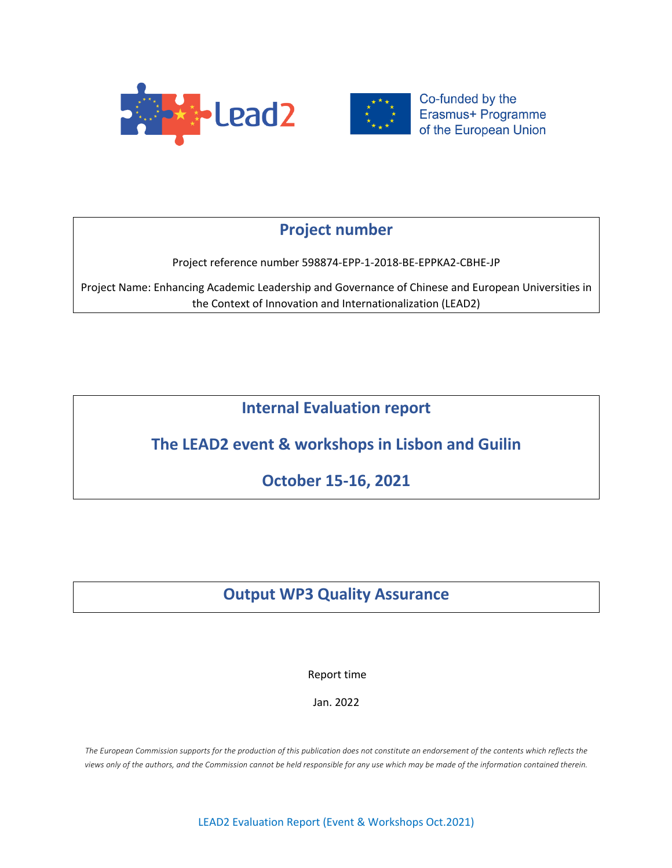



Co-funded by the Erasmus+ Programme of the European Union

# **Project number**

Project reference number 598874-EPP-1-2018-BE-EPPKA2-CBHE-JP

Project Name: Enhancing Academic Leadership and Governance of Chinese and European Universities in the Context of Innovation and Internationalization (LEAD2)

**Internal Evaluation report**

# **The LEAD2 event & workshops in Lisbon and Guilin**

**October 15-16, 2021**

# **Output WP3 Quality Assurance**

Report time

Jan. 2022

*The European Commission supports for the production of this publication does not constitute an endorsement of the contents which reflects the views only of the authors, and the Commission cannot be held responsible for any use which may be made of the information contained therein.*

LEAD2 Evaluation Report (Event & Workshops Oct.2021)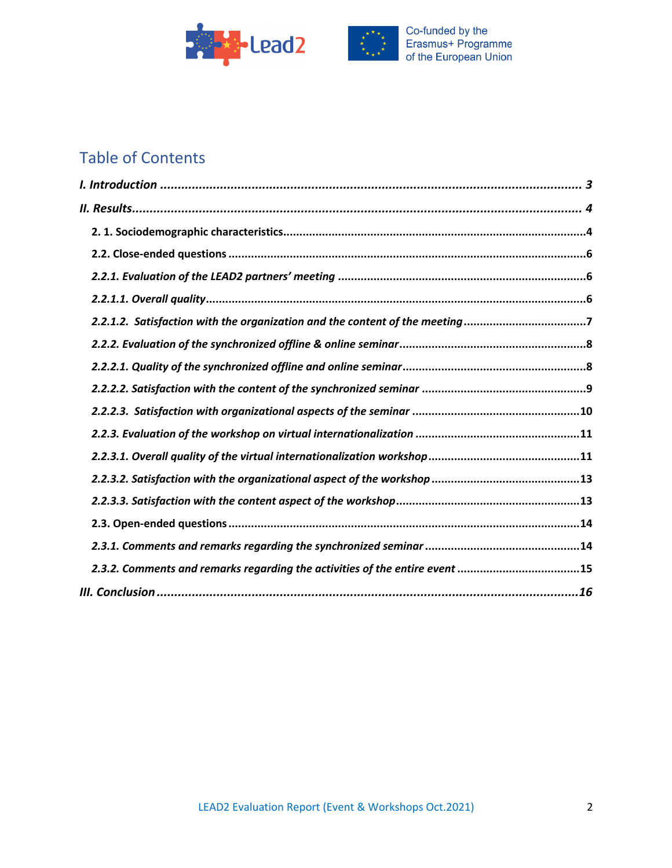



# Table of Contents

| 2.2.1.2. Satisfaction with the organization and the content of the meeting7 |  |
|-----------------------------------------------------------------------------|--|
|                                                                             |  |
|                                                                             |  |
|                                                                             |  |
|                                                                             |  |
|                                                                             |  |
|                                                                             |  |
|                                                                             |  |
|                                                                             |  |
|                                                                             |  |
|                                                                             |  |
| 2.3.2. Comments and remarks regarding the activities of the entire event 15 |  |
|                                                                             |  |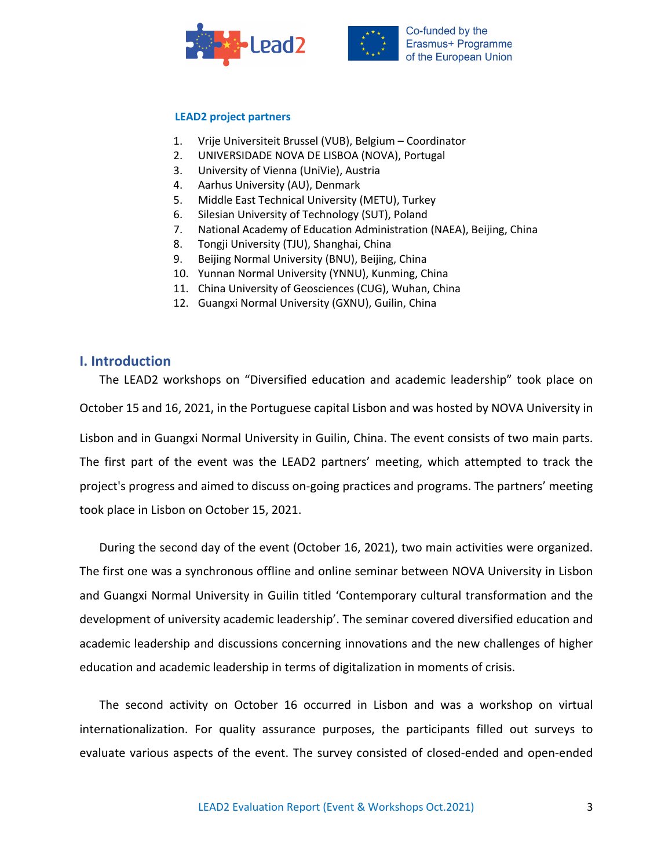



#### **LEAD2 project partners**

- 1. Vrije Universiteit Brussel (VUB), Belgium Coordinator
- 2. UNIVERSIDADE NOVA DE LISBOA (NOVA), Portugal
- 3. University of Vienna (UniVie), Austria
- 4. Aarhus University (AU), Denmark
- 5. Middle East Technical University (METU), Turkey
- 6. Silesian University of Technology (SUT), Poland
- 7. National Academy of Education Administration (NAEA), Beijing, China
- 8. Tongji University (TJU), Shanghai, China
- 9. Beijing Normal University (BNU), Beijing, China
- 10. Yunnan Normal University (YNNU), Kunming, China
- 11. China University of Geosciences (CUG), Wuhan, China
- 12. Guangxi Normal University (GXNU), Guilin, China

## **I. Introduction**

The LEAD2 workshops on "Diversified education and academic leadership" took place on October 15 and 16, 2021, in the Portuguese capital Lisbon and was hosted by NOVA University in Lisbon and in Guangxi Normal University in Guilin, China. The event consists of two main parts. The first part of the event was the LEAD2 partners' meeting, which attempted to track the project's progress and aimed to discuss on-going practices and programs. The partners' meeting took place in Lisbon on October 15, 2021.

During the second day of the event (October 16, 2021), two main activities were organized. The first one was a synchronous offline and online seminar between NOVA University in Lisbon and Guangxi Normal University in Guilin titled 'Contemporary cultural transformation and the development of university academic leadership'. The seminar covered diversified education and academic leadership and discussions concerning innovations and the new challenges of higher education and academic leadership in terms of digitalization in moments of crisis.

The second activity on October 16 occurred in Lisbon and was a workshop on virtual internationalization. For quality assurance purposes, the participants filled out surveys to evaluate various aspects of the event. The survey consisted of closed-ended and open-ended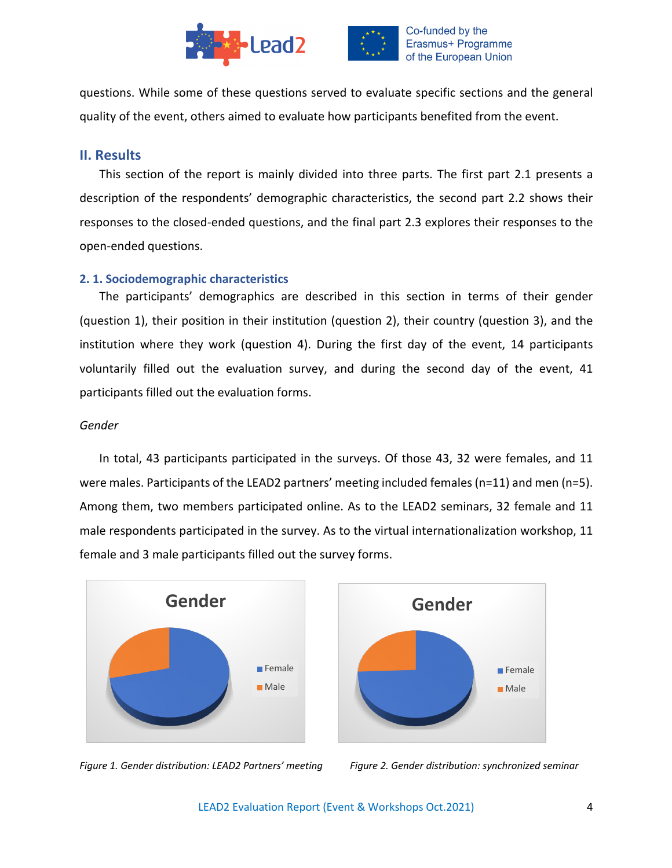



questions. While some of these questions served to evaluate specific sections and the general quality of the event, others aimed to evaluate how participants benefited from the event.

# **II. Results**

This section of the report is mainly divided into three parts. The first part 2.1 presents a description of the respondents' demographic characteristics, the second part 2.2 shows their responses to the closed-ended questions, and the final part 2.3 explores their responses to the open-ended questions.

# **2. 1. Sociodemographic characteristics**

The participants' demographics are described in this section in terms of their gender (question 1), their position in their institution (question 2), their country (question 3), and the institution where they work (question 4). During the first day of the event, 14 participants voluntarily filled out the evaluation survey, and during the second day of the event, 41 participants filled out the evaluation forms.

### *Gender*

In total, 43 participants participated in the surveys. Of those 43, 32 were females, and 11 were males. Participants of the LEAD2 partners' meeting included females (n=11) and men (n=5). Among them, two members participated online. As to the LEAD2 seminars, 32 female and 11 male respondents participated in the survey. As to the virtual internationalization workshop, 11 female and 3 male participants filled out the survey forms.





*Figure* 1. Gender distribution: LEAD2 Partners' meeting Figure 2. Gender distribution: synchronized seminar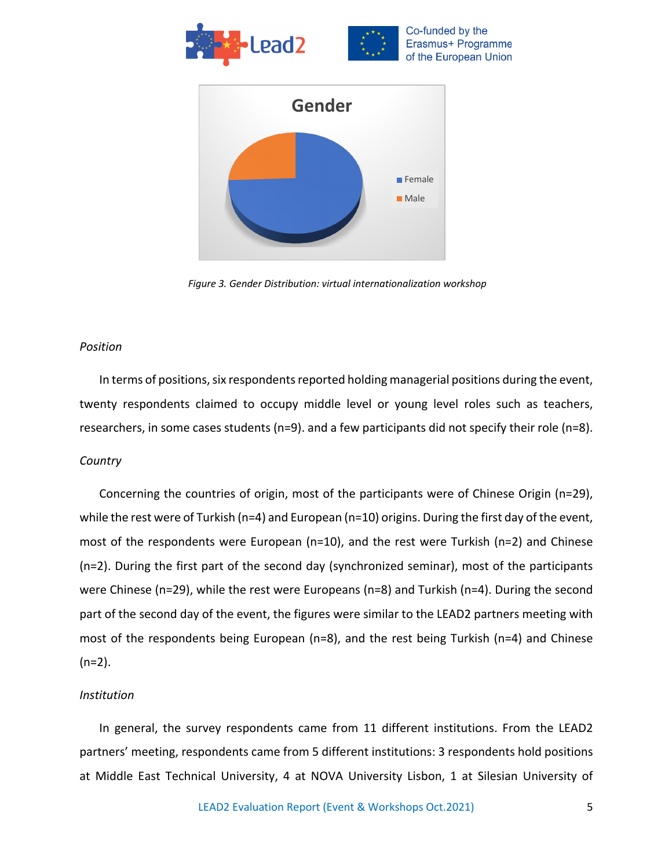



*Figure 3. Gender Distribution: virtual internationalization workshop*

### *Position*

In terms of positions, six respondents reported holding managerial positions during the event, twenty respondents claimed to occupy middle level or young level roles such as teachers, researchers, in some cases students (n=9). and a few participants did not specify their role (n=8).

### *Country*

Concerning the countries of origin, most of the participants were of Chinese Origin (n=29), while the rest were of Turkish (n=4) and European (n=10) origins. During the first day of the event, most of the respondents were European (n=10), and the rest were Turkish (n=2) and Chinese (n=2). During the first part of the second day (synchronized seminar), most of the participants were Chinese (n=29), while the rest were Europeans (n=8) and Turkish (n=4). During the second part of the second day of the event, the figures were similar to the LEAD2 partners meeting with most of the respondents being European (n=8), and the rest being Turkish (n=4) and Chinese  $(n=2)$ .

### *Institution*

In general, the survey respondents came from 11 different institutions. From the LEAD2 partners' meeting, respondents came from 5 different institutions: 3 respondents hold positions at Middle East Technical University, 4 at NOVA University Lisbon, 1 at Silesian University of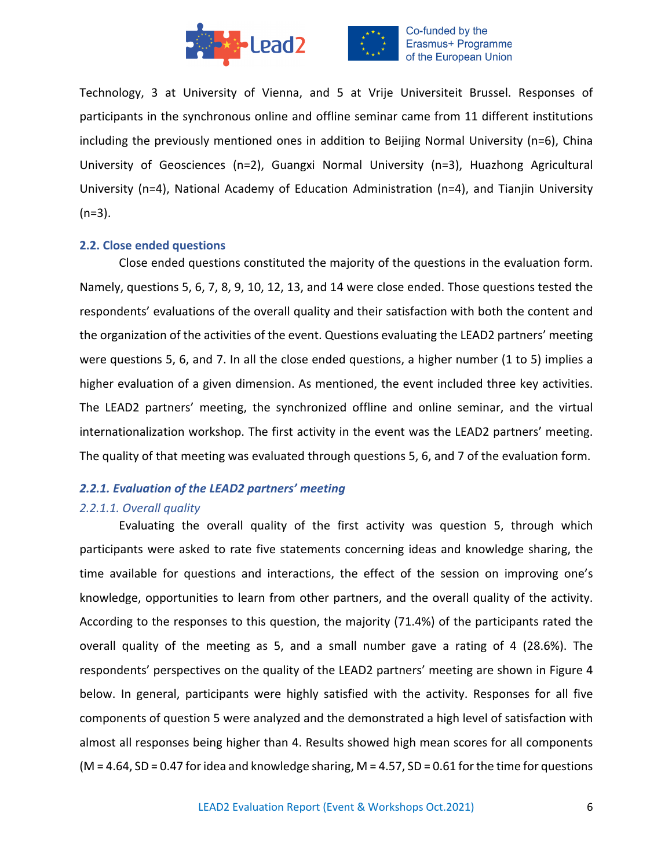

Technology, 3 at University of Vienna, and 5 at Vrije Universiteit Brussel. Responses of participants in the synchronous online and offline seminar came from 11 different institutions including the previously mentioned ones in addition to Beijing Normal University (n=6), China University of Geosciences (n=2), Guangxi Normal University (n=3), Huazhong Agricultural University (n=4), National Academy of Education Administration (n=4), and Tianjin University  $(n=3)$ .

### **2.2. Close ended questions**

Close ended questions constituted the majority of the questions in the evaluation form. Namely, questions 5, 6, 7, 8, 9, 10, 12, 13, and 14 were close ended. Those questions tested the respondents' evaluations of the overall quality and their satisfaction with both the content and the organization of the activities of the event. Questions evaluating the LEAD2 partners' meeting were questions 5, 6, and 7. In all the close ended questions, a higher number (1 to 5) implies a higher evaluation of a given dimension. As mentioned, the event included three key activities. The LEAD2 partners' meeting, the synchronized offline and online seminar, and the virtual internationalization workshop. The first activity in the event was the LEAD2 partners' meeting. The quality of that meeting was evaluated through questions 5, 6, and 7 of the evaluation form.

# *2.2.1. Evaluation of the LEAD2 partners' meeting*

# *2.2.1.1. Overall quality*

Evaluating the overall quality of the first activity was question 5, through which participants were asked to rate five statements concerning ideas and knowledge sharing, the time available for questions and interactions, the effect of the session on improving one's knowledge, opportunities to learn from other partners, and the overall quality of the activity. According to the responses to this question, the majority (71.4%) of the participants rated the overall quality of the meeting as 5, and a small number gave a rating of 4 (28.6%). The respondents' perspectives on the quality of the LEAD2 partners' meeting are shown in Figure 4 below. In general, participants were highly satisfied with the activity. Responses for all five components of question 5 were analyzed and the demonstrated a high level of satisfaction with almost all responses being higher than 4. Results showed high mean scores for all components  $(M = 4.64, SD = 0.47$  for idea and knowledge sharing,  $M = 4.57$ ,  $SD = 0.61$  for the time for questions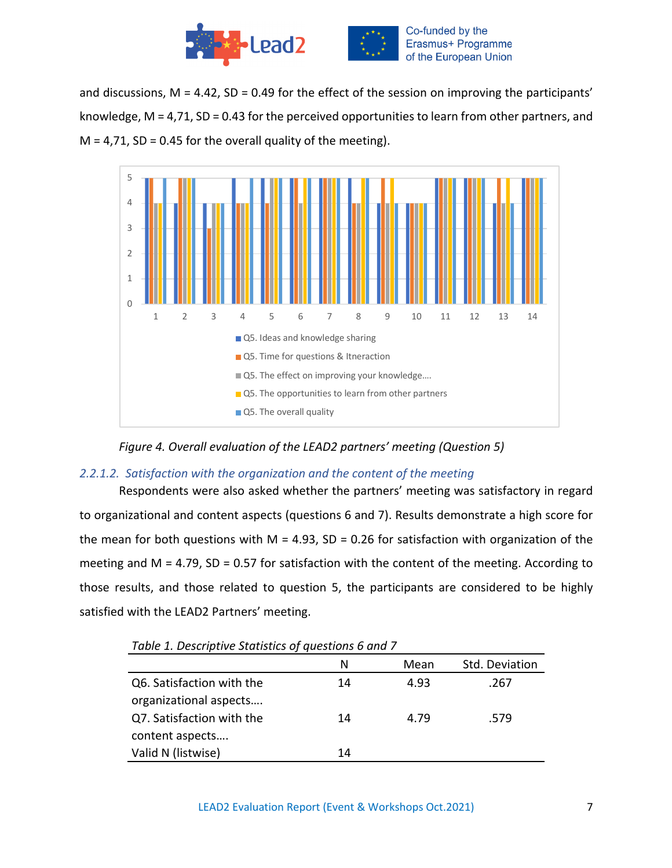

and discussions,  $M = 4.42$ , SD = 0.49 for the effect of the session on improving the participants' knowledge, M = 4,71, SD = 0.43 for the perceived opportunities to learn from other partners, and  $M = 4,71$ , SD = 0.45 for the overall quality of the meeting).



*Figure 4. Overall evaluation of the LEAD2 partners' meeting (Question 5)*

# *2.2.1.2. Satisfaction with the organization and the content of the meeting*

Respondents were also asked whether the partners' meeting was satisfactory in regard to organizational and content aspects (questions 6 and 7). Results demonstrate a high score for the mean for both questions with M = 4.93, SD = 0.26 for satisfaction with organization of the meeting and M = 4.79, SD = 0.57 for satisfaction with the content of the meeting. According to those results, and those related to question 5, the participants are considered to be highly satisfied with the LEAD2 Partners' meeting.

|                           | N  | Mean | Std. Deviation |
|---------------------------|----|------|----------------|
| Q6. Satisfaction with the | 14 | 4.93 | .267           |
| organizational aspects    |    |      |                |
| Q7. Satisfaction with the | 14 | 4.79 | .579           |
| content aspects           |    |      |                |
| Valid N (listwise)        | 14 |      |                |
|                           |    |      |                |

*Table 1. Descriptive Statistics of questions 6 and 7*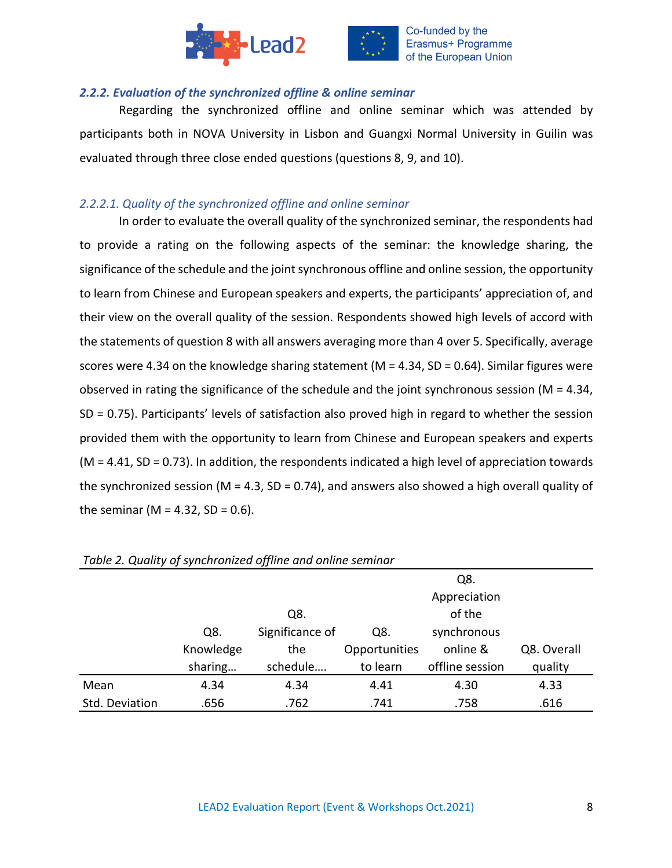

![](_page_7_Picture_1.jpeg)

## *2.2.2. Evaluation of the synchronized offline & online seminar*

Regarding the synchronized offline and online seminar which was attended by participants both in NOVA University in Lisbon and Guangxi Normal University in Guilin was evaluated through three close ended questions (questions 8, 9, and 10).

# *2.2.2.1. Quality of the synchronized offline and online seminar*

In order to evaluate the overall quality of the synchronized seminar, the respondents had to provide a rating on the following aspects of the seminar: the knowledge sharing, the significance of the schedule and the joint synchronous offline and online session, the opportunity to learn from Chinese and European speakers and experts, the participants' appreciation of, and their view on the overall quality of the session. Respondents showed high levels of accord with the statements of question 8 with all answers averaging more than 4 over 5. Specifically, average scores were 4.34 on the knowledge sharing statement (M = 4.34, SD = 0.64). Similar figures were observed in rating the significance of the schedule and the joint synchronous session ( $M = 4.34$ , SD = 0.75). Participants' levels of satisfaction also proved high in regard to whether the session provided them with the opportunity to learn from Chinese and European speakers and experts  $(M = 4.41, SD = 0.73)$ . In addition, the respondents indicated a high level of appreciation towards the synchronized session ( $M = 4.3$ , SD = 0.74), and answers also showed a high overall quality of the seminar ( $M = 4.32$ , SD = 0.6).

| Table 2. Quality of synchronized offinie and online seminar |           |                 |               |                 |             |
|-------------------------------------------------------------|-----------|-----------------|---------------|-----------------|-------------|
|                                                             |           |                 |               | Q8.             |             |
|                                                             |           |                 |               | Appreciation    |             |
|                                                             |           | Q8.             |               | of the          |             |
|                                                             | Q8.       | Significance of | Q8.           | synchronous     |             |
|                                                             | Knowledge | the             | Opportunities | online &        | Q8. Overall |
|                                                             | sharing   | schedule        | to learn      | offline session | quality     |
| Mean                                                        | 4.34      | 4.34            | 4.41          | 4.30            | 4.33        |
| Std. Deviation                                              | .656      | .762            | .741          | .758            | .616        |

### *Table 2. Quality of synchronized offline and online seminar*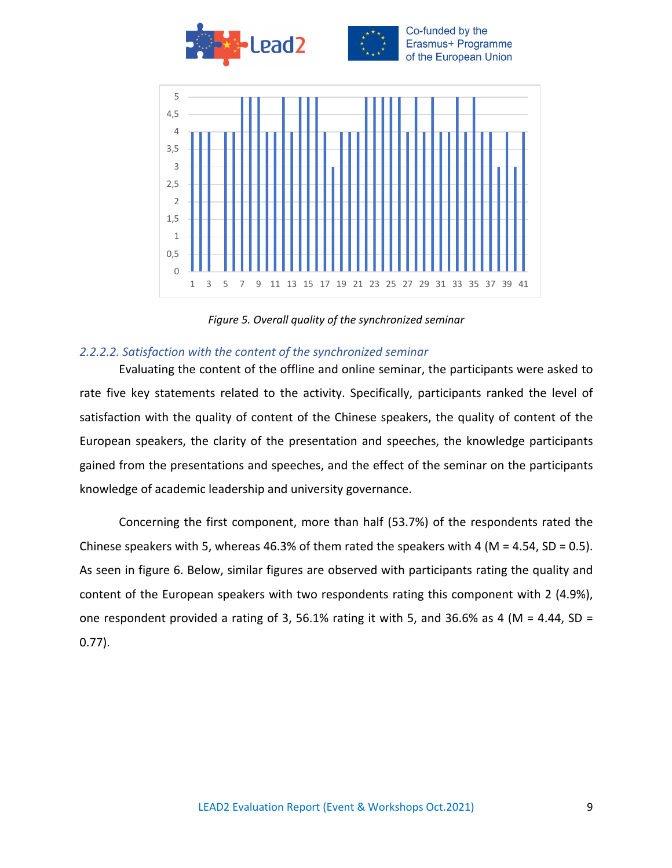![](_page_8_Picture_0.jpeg)

![](_page_8_Figure_1.jpeg)

*Figure 5. Overall quality of the synchronized seminar*

## *2.2.2.2. Satisfaction with the content of the synchronized seminar*

Evaluating the content of the offline and online seminar, the participants were asked to rate five key statements related to the activity. Specifically, participants ranked the level of satisfaction with the quality of content of the Chinese speakers, the quality of content of the European speakers, the clarity of the presentation and speeches, the knowledge participants gained from the presentations and speeches, and the effect of the seminar on the participants knowledge of academic leadership and university governance.

Concerning the first component, more than half (53.7%) of the respondents rated the Chinese speakers with 5, whereas 46.3% of them rated the speakers with 4 (M = 4.54, SD = 0.5). As seen in figure 6. Below, similar figures are observed with participants rating the quality and content of the European speakers with two respondents rating this component with 2 (4.9%), one respondent provided a rating of 3, 56.1% rating it with 5, and 36.6% as 4 (M = 4.44, SD = 0.77).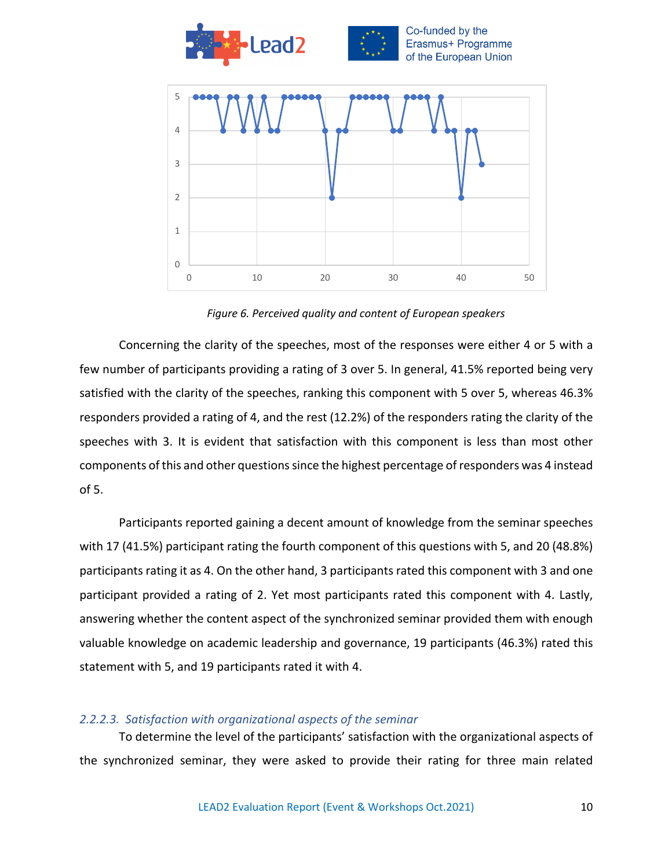![](_page_9_Figure_0.jpeg)

*Figure 6. Perceived quality and content of European speakers*

Concerning the clarity of the speeches, most of the responses were either 4 or 5 with a few number of participants providing a rating of 3 over 5. In general, 41.5% reported being very satisfied with the clarity of the speeches, ranking this component with 5 over 5, whereas 46.3% responders provided a rating of 4, and the rest (12.2%) of the responders rating the clarity of the speeches with 3. It is evident that satisfaction with this component is less than most other components of this and other questionssince the highest percentage of responders was 4 instead of 5.

Participants reported gaining a decent amount of knowledge from the seminar speeches with 17 (41.5%) participant rating the fourth component of this questions with 5, and 20 (48.8%) participants rating it as 4. On the other hand, 3 participants rated this component with 3 and one participant provided a rating of 2. Yet most participants rated this component with 4. Lastly, answering whether the content aspect of the synchronized seminar provided them with enough valuable knowledge on academic leadership and governance, 19 participants (46.3%) rated this statement with 5, and 19 participants rated it with 4.

### *2.2.2.3. Satisfaction with organizational aspects of the seminar*

To determine the level of the participants' satisfaction with the organizational aspects of the synchronized seminar, they were asked to provide their rating for three main related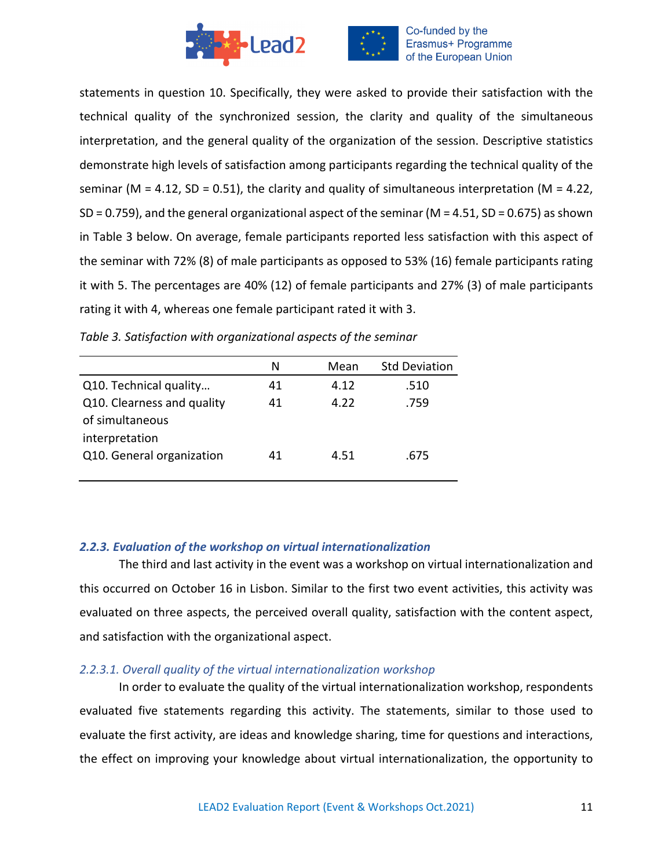![](_page_10_Picture_0.jpeg)

statements in question 10. Specifically, they were asked to provide their satisfaction with the technical quality of the synchronized session, the clarity and quality of the simultaneous interpretation, and the general quality of the organization of the session. Descriptive statistics demonstrate high levels of satisfaction among participants regarding the technical quality of the seminar ( $M = 4.12$ , SD = 0.51), the clarity and quality of simultaneous interpretation ( $M = 4.22$ , SD = 0.759), and the general organizational aspect of the seminar (M = 4.51, SD = 0.675) as shown in Table 3 below. On average, female participants reported less satisfaction with this aspect of the seminar with 72% (8) of male participants as opposed to 53% (16) female participants rating it with 5. The percentages are 40% (12) of female participants and 27% (3) of male participants rating it with 4, whereas one female participant rated it with 3.

|                            | N  | Mean | <b>Std Deviation</b> |
|----------------------------|----|------|----------------------|
| Q10. Technical quality     | 41 | 4.12 | .510                 |
| Q10. Clearness and quality | 41 | 4.22 | .759                 |
| of simultaneous            |    |      |                      |
| interpretation             |    |      |                      |
| Q10. General organization  | 41 | 4.51 | .675                 |
|                            |    |      |                      |

*Table 3. Satisfaction with organizational aspects of the seminar*

# *2.2.3. Evaluation of the workshop on virtual internationalization*

The third and last activity in the event was a workshop on virtual internationalization and this occurred on October 16 in Lisbon. Similar to the first two event activities, this activity was evaluated on three aspects, the perceived overall quality, satisfaction with the content aspect, and satisfaction with the organizational aspect.

# *2.2.3.1. Overall quality of the virtual internationalization workshop*

In order to evaluate the quality of the virtual internationalization workshop, respondents evaluated five statements regarding this activity. The statements, similar to those used to evaluate the first activity, are ideas and knowledge sharing, time for questions and interactions, the effect on improving your knowledge about virtual internationalization, the opportunity to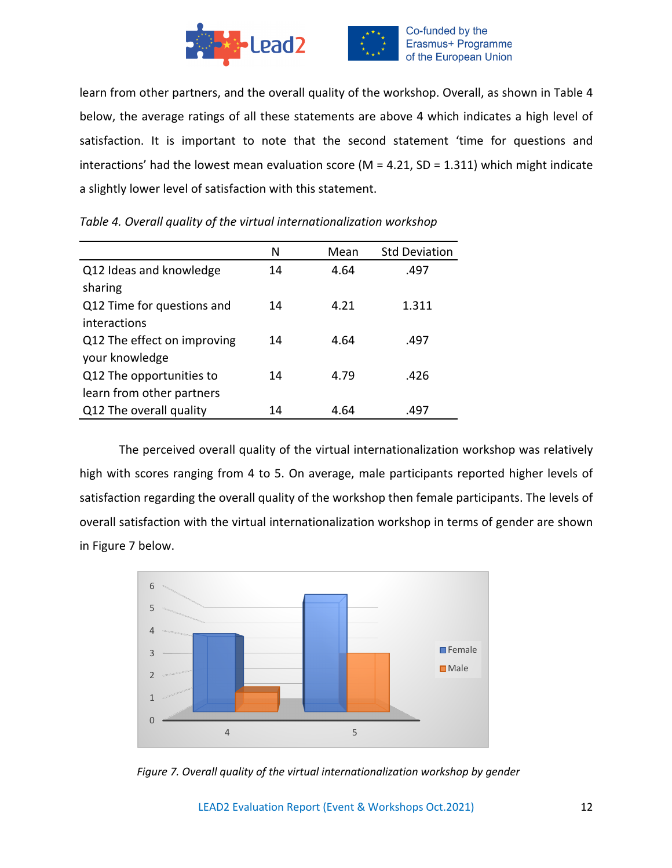![](_page_11_Picture_0.jpeg)

learn from other partners, and the overall quality of the workshop. Overall, as shown in Table 4 below, the average ratings of all these statements are above 4 which indicates a high level of satisfaction. It is important to note that the second statement 'time for questions and interactions' had the lowest mean evaluation score ( $M = 4.21$ , SD = 1.311) which might indicate a slightly lower level of satisfaction with this statement.

|                             | N  | Mean | <b>Std Deviation</b> |
|-----------------------------|----|------|----------------------|
| Q12 Ideas and knowledge     | 14 | 4.64 | .497                 |
| sharing                     |    |      |                      |
| Q12 Time for questions and  | 14 | 4.21 | 1.311                |
| interactions                |    |      |                      |
| Q12 The effect on improving | 14 | 4.64 | .497                 |
| your knowledge              |    |      |                      |
| Q12 The opportunities to    | 14 | 4.79 | .426                 |
| learn from other partners   |    |      |                      |
| Q12 The overall quality     | 14 | 4.64 | .497                 |

*Table 4. Overall quality of the virtual internationalization workshop*

The perceived overall quality of the virtual internationalization workshop was relatively high with scores ranging from 4 to 5. On average, male participants reported higher levels of satisfaction regarding the overall quality of the workshop then female participants. The levels of overall satisfaction with the virtual internationalization workshop in terms of gender are shown in Figure 7 below.

![](_page_11_Figure_5.jpeg)

*Figure 7. Overall quality of the virtual internationalization workshop by gender*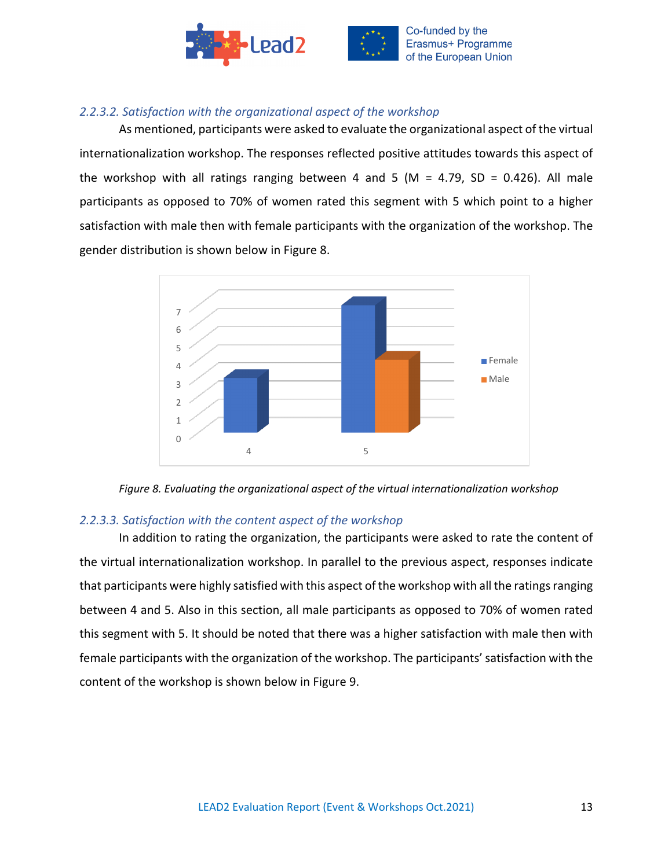![](_page_12_Picture_0.jpeg)

# *2.2.3.2. Satisfaction with the organizational aspect of the workshop*

As mentioned, participants were asked to evaluate the organizational aspect of the virtual internationalization workshop. The responses reflected positive attitudes towards this aspect of the workshop with all ratings ranging between 4 and 5 (M = 4.79, SD = 0.426). All male participants as opposed to 70% of women rated this segment with 5 which point to a higher satisfaction with male then with female participants with the organization of the workshop. The gender distribution is shown below in Figure 8.

![](_page_12_Figure_3.jpeg)

![](_page_12_Figure_4.jpeg)

# *2.2.3.3. Satisfaction with the content aspect of the workshop*

In addition to rating the organization, the participants were asked to rate the content of the virtual internationalization workshop. In parallel to the previous aspect, responses indicate that participants were highly satisfied with this aspect of the workshop with all the ratings ranging between 4 and 5. Also in this section, all male participants as opposed to 70% of women rated this segment with 5. It should be noted that there was a higher satisfaction with male then with female participants with the organization of the workshop. The participants' satisfaction with the content of the workshop is shown below in Figure 9.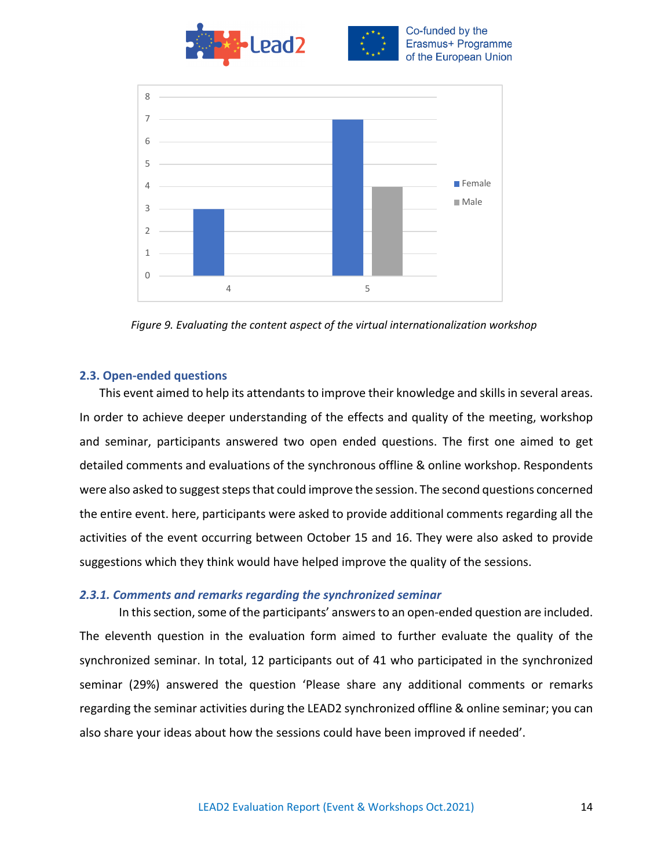![](_page_13_Picture_0.jpeg)

![](_page_13_Figure_1.jpeg)

*Figure 9. Evaluating the content aspect of the virtual internationalization workshop*

# **2.3. Open-ended questions**

This event aimed to help its attendants to improve their knowledge and skills in several areas. In order to achieve deeper understanding of the effects and quality of the meeting, workshop and seminar, participants answered two open ended questions. The first one aimed to get detailed comments and evaluations of the synchronous offline & online workshop. Respondents were also asked to suggest steps that could improve the session. The second questions concerned the entire event. here, participants were asked to provide additional comments regarding all the activities of the event occurring between October 15 and 16. They were also asked to provide suggestions which they think would have helped improve the quality of the sessions.

# *2.3.1. Comments and remarks regarding the synchronized seminar*

In this section, some of the participants' answers to an open-ended question are included. The eleventh question in the evaluation form aimed to further evaluate the quality of the synchronized seminar. In total, 12 participants out of 41 who participated in the synchronized seminar (29%) answered the question 'Please share any additional comments or remarks regarding the seminar activities during the LEAD2 synchronized offline & online seminar; you can also share your ideas about how the sessions could have been improved if needed'.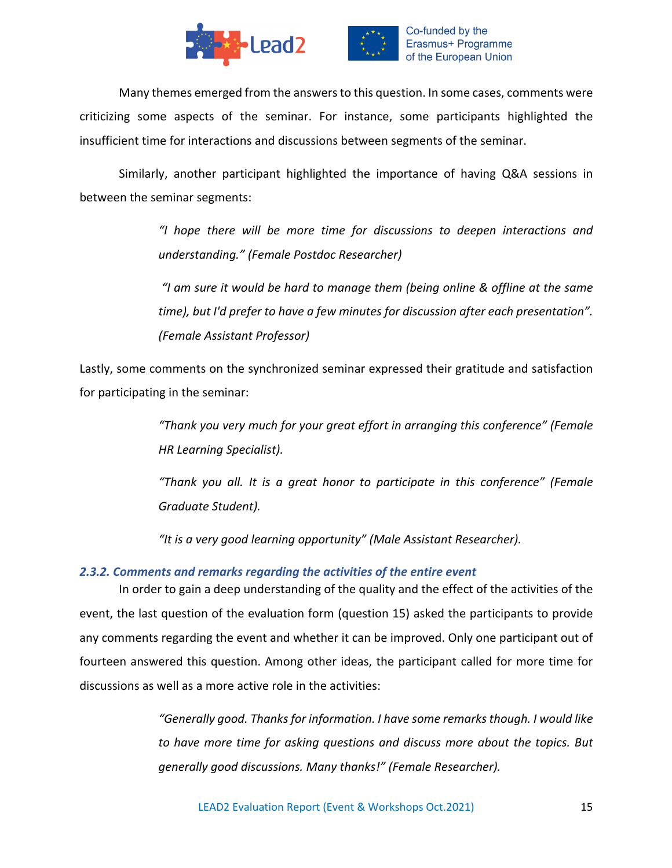![](_page_14_Picture_0.jpeg)

![](_page_14_Picture_1.jpeg)

Many themes emerged from the answers to this question. In some cases, comments were criticizing some aspects of the seminar. For instance, some participants highlighted the insufficient time for interactions and discussions between segments of the seminar.

Similarly, another participant highlighted the importance of having Q&A sessions in between the seminar segments:

> *"I hope there will be more time for discussions to deepen interactions and understanding." (Female Postdoc Researcher)*

> *"I am sure it would be hard to manage them (being online & offline at the same time), but I'd prefer to have a few minutes for discussion after each presentation". (Female Assistant Professor)*

Lastly, some comments on the synchronized seminar expressed their gratitude and satisfaction for participating in the seminar:

> *"Thank you very much for your great effort in arranging this conference" (Female HR Learning Specialist).*

> *"Thank you all. It is a great honor to participate in this conference" (Female Graduate Student).*

*"It is a very good learning opportunity" (Male Assistant Researcher).*

# *2.3.2. Comments and remarks regarding the activities of the entire event*

In order to gain a deep understanding of the quality and the effect of the activities of the event, the last question of the evaluation form (question 15) asked the participants to provide any comments regarding the event and whether it can be improved. Only one participant out of fourteen answered this question. Among other ideas, the participant called for more time for discussions as well as a more active role in the activities:

> *"Generally good. Thanks for information. I have some remarks though. I would like to have more time for asking questions and discuss more about the topics. But generally good discussions. Many thanks!" (Female Researcher).*